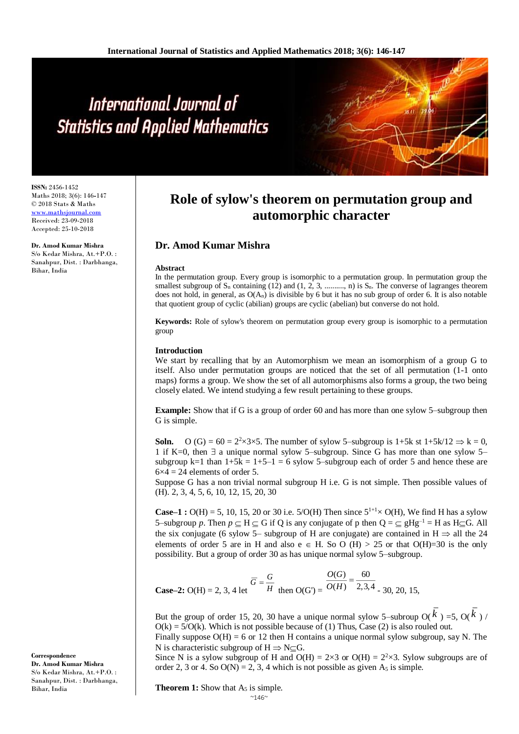# International Journal of **Statistics and Applied Mathematics**

**ISSN:** 2456-1452 Maths 2018; 3(6): 146**-**147 © 2018 Stats & Maths [www.mathsjournal.com](http://www.mathsjournal.com/) Received: 23-09-2018 Accepted: 25-10-2018

**Dr. Amod Kumar Mishra** S/o Kedar Mishra, At.+P.O. : Sanahpur, Dist. : Darbhanga, Bihar, India

**Correspondence Dr. Amod Kumar Mishra** S/o Kedar Mishra, At.+P.O. : Sanahpur, Dist. : Darbhanga,

Bihar, India

## **Role of sylow's theorem on permutation group and automorphic character**

### **Dr. Amod Kumar Mishra**

#### **Abstract**

In the permutation group. Every group is isomorphic to a permutation group. In permutation group the smallest subgroup of S<sup>n</sup> containing (12) and (1, 2, 3, .........., n) is Sn. The converse of lagranges theorem does not hold, in general, as  $O(A_n)$  is divisible by 6 but it has no sub group of order 6. It is also notable that quotient group of cyclic (abilian) groups are cyclic (abelian) but converse do not hold.

**Keywords:** Role of sylow's theorem on permutation group every group is isomorphic to a permutation group

#### **Introduction**

We start by recalling that by an Automorphism we mean an isomorphism of a group G to itself. Also under permutation groups are noticed that the set of all permutation (1-1 onto maps) forms a group. We show the set of all automorphisms also forms a group, the two being closely elated. We intend studying a few result pertaining to these groups.

**Example:** Show that if G is a group of order 60 and has more than one sylow 5–subgroup then G is simple.

**Soln.** O (G) =  $60 = 2^2 \times 3 \times 5$ . The number of sylow 5-subgroup is 1+5k st 1+5k/12  $\Rightarrow$  k = 0, 1 if K=0, then  $\exists$  a unique normal sylow 5–subgroup. Since G has more than one sylow 5– subgroup k=1 than  $1+5k = 1+5-1 = 6$  sylow 5-subgroup each of order 5 and hence these are  $6\times4 = 24$  elements of order 5.

Suppose G has a non trivial normal subgroup H i.e. G is not simple. Then possible values of (H). 2, 3, 4, 5, 6, 10, 12, 15, 20, 30

**Case–1 :** O(H) = 5, 10, 15, 20 or 30 i.e. 5/O(H) Then since  $5^{1+1} \times$  O(H), We find H has a sylow 5–subgroup *p*. Then  $p \subset H \subset G$  if Q is any conjugate of p then  $Q = \subset gHg^{-1} = H$  as H $\subset G$ . All the six conjugate (6 sylow 5– subgroup of H are conjugate) are contained in  $H \Rightarrow$  all the 24 elements of order 5 are in H and also  $e \in H$ . So O (H) > 25 or that O(H)=30 is the only possibility. But a group of order 30 as has unique normal sylow 5–subgroup.

**Case–2:** O(H) = 2, 3, 4 let  $H$  $\overline{G} = \frac{G}{A}$ then  $O(G') = O(H)$  2,3,4 60  $(H)$  $\frac{O(G)}{O(H)} =$  $O(G)$ - 30, 20, 15,

But the group of order 15, 20, 30 have a unique normal sylow 5-subroup  $O(k^2)$  =5,  $O(k^2)$  /  $O(k) = 5/O(k)$ . Which is not possible because of (1) Thus, Case (2) is also rouled out.

Finally suppose  $O(H) = 6$  or 12 then H contains a unique normal sylow subgroup, say N. The N is characteristic subgroup of  $H \Rightarrow N \subset G$ .

Since N is a sylow subgroup of H and  $O(H) = 2 \times 3$  or  $O(H) = 2^2 \times 3$ . Sylow subgroups are of order 2, 3 or 4. So  $O(N) = 2$ , 3, 4 which is not possible as given  $A_5$  is simple.

**Theorem 1:** Show that A<sub>5</sub> is simple.